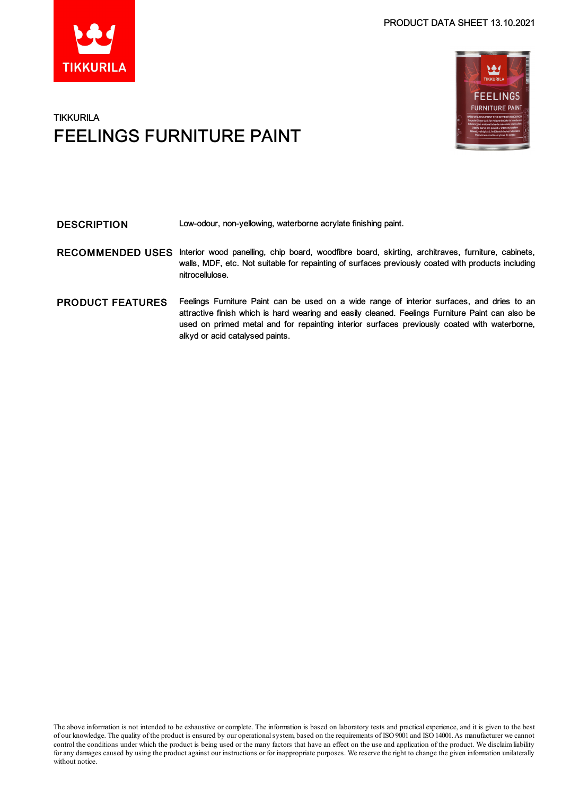# بع **FEELINGS FURNITURE PAINT**

### **TIKKURILA** FEELINGS FURNITURE PAINT

| <b>DESCRIPTION</b>      | Low-odour, non-yellowing, waterborne acrylate finishing paint.                                                                                                                                                                                                                                                                    |
|-------------------------|-----------------------------------------------------------------------------------------------------------------------------------------------------------------------------------------------------------------------------------------------------------------------------------------------------------------------------------|
| <b>RECOMMENDED USES</b> | Interior wood panelling, chip board, woodfibre board, skirting, architraves, furniture, cabinets,<br>walls, MDF, etc. Not suitable for repainting of surfaces previously coated with products including<br>nitrocellulose.                                                                                                        |
| <b>PRODUCT FEATURES</b> | Feelings Furniture Paint can be used on a wide range of interior surfaces, and dries to an<br>attractive finish which is hard wearing and easily cleaned. Feelings Furniture Paint can also be<br>used on primed metal and for repainting interior surfaces previously coated with waterborne,<br>alkyd or acid catalysed paints. |

The above information is not intended to be exhaustive or complete. The information is based on laboratory tests and practical experience, and it is given to the best of our knowledge. The quality of the product is ensured by our operationalsystem, based on the requirements of ISO9001 and ISO14001.As manufacturer we cannot control the conditions under which the product is being used or the many factors that have an effect on the use and application of the product. We disclaimliability for any damages caused by using the product against our instructions or for inappropriate purposes. We reserve the right to change the given information unilaterally without notice.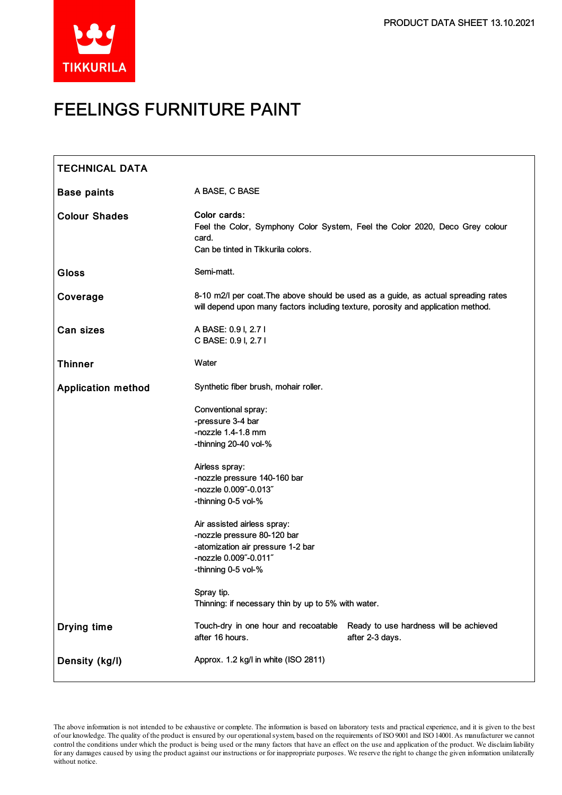

## FEELINGS FURNITURE PAINT

| <b>TECHNICAL DATA</b>     |                                                                                                                                                 |                                                                                                                                                                         |
|---------------------------|-------------------------------------------------------------------------------------------------------------------------------------------------|-------------------------------------------------------------------------------------------------------------------------------------------------------------------------|
| <b>Base paints</b>        | A BASE, C BASE                                                                                                                                  |                                                                                                                                                                         |
| <b>Colour Shades</b>      | Color cards:<br>card.<br>Can be tinted in Tikkurila colors.                                                                                     | Feel the Color, Symphony Color System, Feel the Color 2020, Deco Grey colour                                                                                            |
| <b>Gloss</b>              | Semi-matt.                                                                                                                                      |                                                                                                                                                                         |
| Coverage                  |                                                                                                                                                 | 8-10 m2/l per coat. The above should be used as a guide, as actual spreading rates<br>will depend upon many factors including texture, porosity and application method. |
| <b>Can sizes</b>          | A BASE: 0.9 I, 2.7 I<br>C BASE: 0.9 I, 2.7 I                                                                                                    |                                                                                                                                                                         |
| <b>Thinner</b>            | Water                                                                                                                                           |                                                                                                                                                                         |
| <b>Application method</b> | Synthetic fiber brush, mohair roller.                                                                                                           |                                                                                                                                                                         |
|                           | Conventional spray:<br>-pressure 3-4 bar<br>-nozzle $1.4-1.8$ mm<br>-thinning 20-40 vol-%                                                       |                                                                                                                                                                         |
|                           | Airless spray:<br>-nozzle pressure 140-160 bar<br>-nozzle 0.009"-0.013"<br>-thinning 0-5 vol-%                                                  |                                                                                                                                                                         |
|                           | Air assisted airless spray:<br>-nozzle pressure 80-120 bar<br>-atomization air pressure 1-2 bar<br>-nozzle 0.009"-0.011"<br>-thinning 0-5 vol-% |                                                                                                                                                                         |
|                           | Spray tip.<br>Thinning: if necessary thin by up to 5% with water.                                                                               |                                                                                                                                                                         |
| <b>Drying time</b>        | Touch-dry in one hour and recoatable<br>after 16 hours.                                                                                         | Ready to use hardness will be achieved<br>after 2-3 days.                                                                                                               |
| Density (kg/l)            | Approx. 1.2 kg/l in white (ISO 2811)                                                                                                            |                                                                                                                                                                         |

The above information is not intended to be exhaustive or complete. The information is based on laboratory tests and practical experience, and it is given to the best of our knowledge. The quality of the product is ensured by our operationalsystem, based on the requirements of ISO9001 and ISO14001.As manufacturer we cannot control the conditions under which the product is being used or the many factors that have an effect on the use and application of the product. We disclaimliability forany damages caused by using the product against our instructions or for inappropriate purposes. We reserve the right to change the given information unilaterally without notice.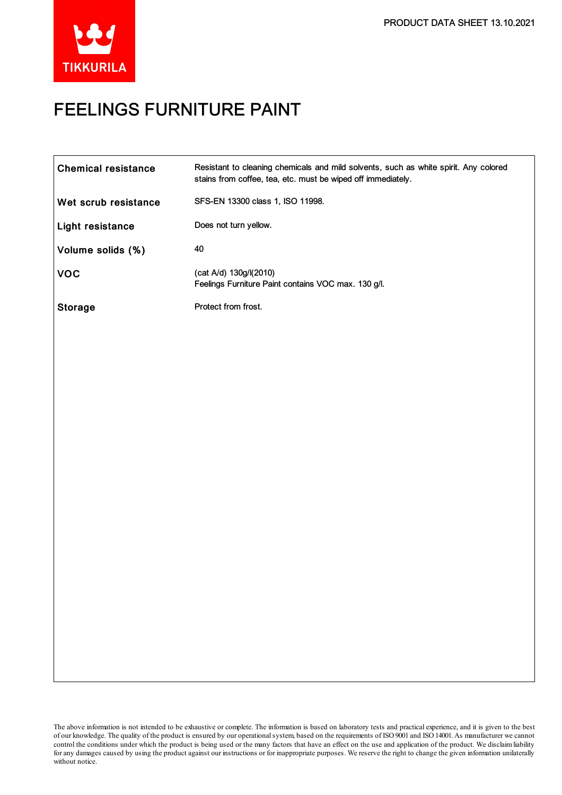

## FEELINGS FURNITURE PAINT

The above information is not intended to be exhaustive or complete. The information is based on laboratory tests and practical experience, and it is given to the best of our knowledge. The quality of the product is ensured by our operationalsystem, based on the requirements of ISO9001 and ISO14001.As manufacturer we cannot control the conditions under which the product is being used or the many factors that have an effect on the use and application of the product. We disclaimliability forany damages caused by using the product against our instructions or for inappropriate purposes. We reserve the right to change the given information unilaterally without notice.